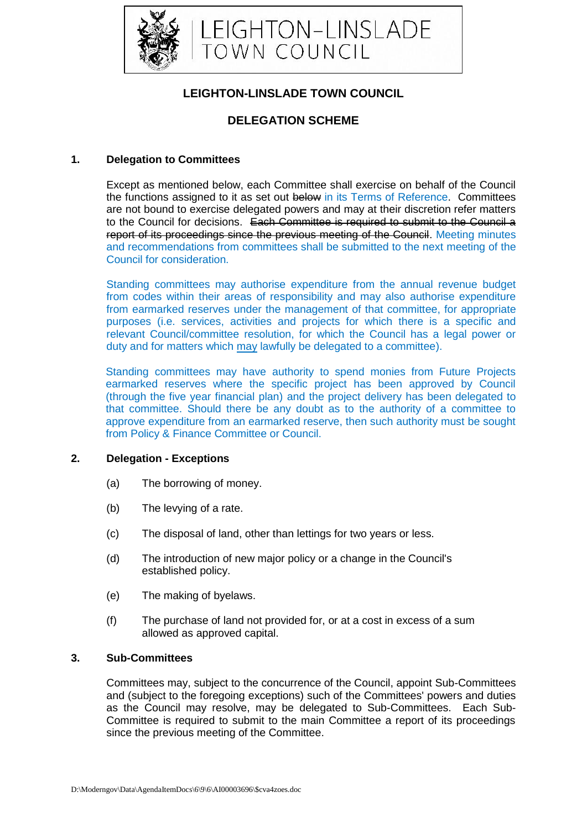

# **LEIGHTON-LINSLADE TOWN COUNCIL**

## **DELEGATION SCHEME**

### **1. Delegation to Committees**

Except as mentioned below, each Committee shall exercise on behalf of the Council the functions assigned to it as set out below in its Terms of Reference. Committees are not bound to exercise delegated powers and may at their discretion refer matters to the Council for decisions. Each Committee is required to submit to the Council a report of its proceedings since the previous meeting of the Council. Meeting minutes and recommendations from committees shall be submitted to the next meeting of the Council for consideration.

Standing committees may authorise expenditure from the annual revenue budget from codes within their areas of responsibility and may also authorise expenditure from earmarked reserves under the management of that committee, for appropriate purposes (i.e. services, activities and projects for which there is a specific and relevant Council/committee resolution, for which the Council has a legal power or duty and for matters which may lawfully be delegated to a committee).

Standing committees may have authority to spend monies from Future Projects earmarked reserves where the specific project has been approved by Council (through the five year financial plan) and the project delivery has been delegated to that committee. Should there be any doubt as to the authority of a committee to approve expenditure from an earmarked reserve, then such authority must be sought from Policy & Finance Committee or Council.

#### **2. Delegation - Exceptions**

- (a) The borrowing of money.
- (b) The levying of a rate.
- (c) The disposal of land, other than lettings for two years or less.
- (d) The introduction of new major policy or a change in the Council's established policy.
- (e) The making of byelaws.
- (f) The purchase of land not provided for, or at a cost in excess of a sum allowed as approved capital.

## **3. Sub-Committees**

Committees may, subject to the concurrence of the Council, appoint Sub-Committees and (subject to the foregoing exceptions) such of the Committees' powers and duties as the Council may resolve, may be delegated to Sub-Committees. Each Sub-Committee is required to submit to the main Committee a report of its proceedings since the previous meeting of the Committee.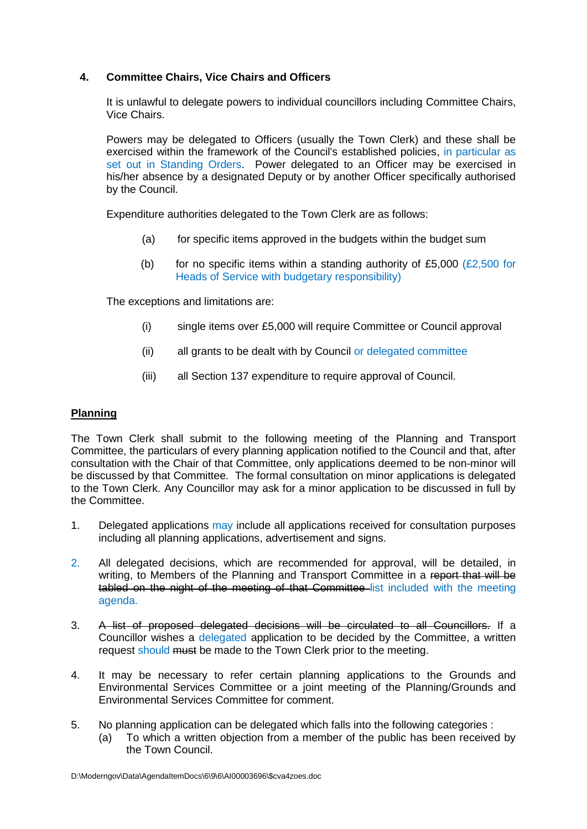## **4. Committee Chairs, Vice Chairs and Officers**

It is unlawful to delegate powers to individual councillors including Committee Chairs, Vice Chairs.

Powers may be delegated to Officers (usually the Town Clerk) and these shall be exercised within the framework of the Council's established policies, in particular as set out in Standing Orders. Power delegated to an Officer may be exercised in his/her absence by a designated Deputy or by another Officer specifically authorised by the Council.

Expenditure authorities delegated to the Town Clerk are as follows:

- (a) for specific items approved in the budgets within the budget sum
- (b) for no specific items within a standing authority of £5,000 ( $E2,500$  for Heads of Service with budgetary responsibility)

The exceptions and limitations are:

- (i) single items over £5,000 will require Committee or Council approval
- (ii) all grants to be dealt with by Council or delegated committee
- (iii) all Section 137 expenditure to require approval of Council.

#### **Planning**

The Town Clerk shall submit to the following meeting of the Planning and Transport Committee, the particulars of every planning application notified to the Council and that, after consultation with the Chair of that Committee, only applications deemed to be non-minor will be discussed by that Committee. The formal consultation on minor applications is delegated to the Town Clerk. Any Councillor may ask for a minor application to be discussed in full by the Committee.

- 1. Delegated applications may include all applications received for consultation purposes including all planning applications, advertisement and signs.
- 2. All delegated decisions, which are recommended for approval, will be detailed, in writing, to Members of the Planning and Transport Committee in a report that will be tabled on the night of the meeting of that Committee list included with the meeting agenda.
- 3. A list of proposed delegated decisions will be circulated to all Councillors. If a Councillor wishes a delegated application to be decided by the Committee, a written request should must be made to the Town Clerk prior to the meeting.
- 4. It may be necessary to refer certain planning applications to the Grounds and Environmental Services Committee or a joint meeting of the Planning/Grounds and Environmental Services Committee for comment.
- 5. No planning application can be delegated which falls into the following categories :
	- (a) To which a written objection from a member of the public has been received by the Town Council.